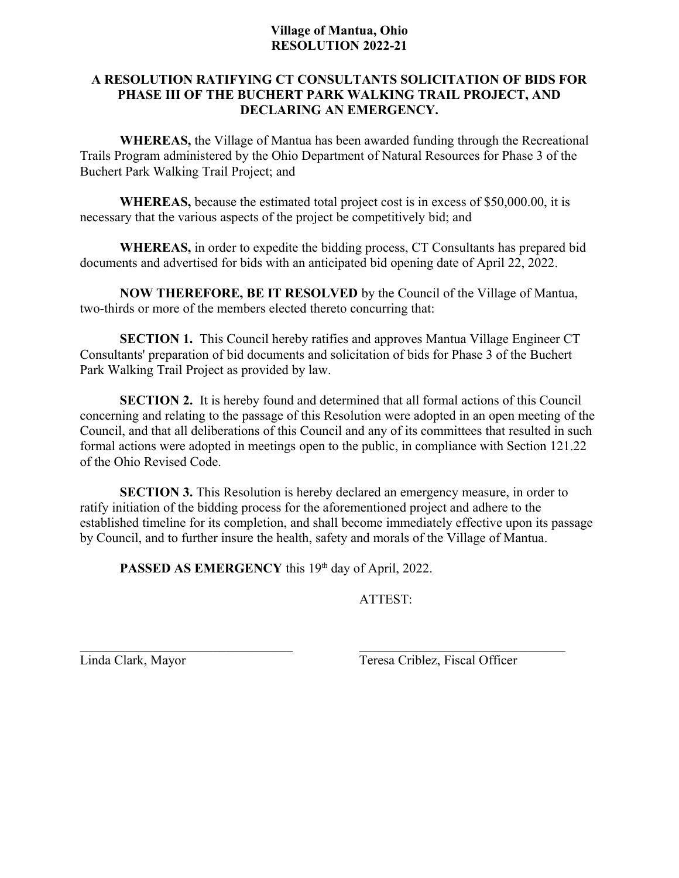## **Village of Mantua, Ohio RESOLUTION 2022-21**

## **A RESOLUTION RATIFYING CT CONSULTANTS SOLICITATION OF BIDS FOR PHASE III OF THE BUCHERT PARK WALKING TRAIL PROJECT, AND DECLARING AN EMERGENCY.**

**WHEREAS,** the Village of Mantua has been awarded funding through the Recreational Trails Program administered by the Ohio Department of Natural Resources for Phase 3 of the Buchert Park Walking Trail Project; and

**WHEREAS,** because the estimated total project cost is in excess of \$50,000.00, it is necessary that the various aspects of the project be competitively bid; and

**WHEREAS,** in order to expedite the bidding process, CT Consultants has prepared bid documents and advertised for bids with an anticipated bid opening date of April 22, 2022.

**NOW THEREFORE, BE IT RESOLVED** by the Council of the Village of Mantua, two-thirds or more of the members elected thereto concurring that:

**SECTION 1.** This Council hereby ratifies and approves Mantua Village Engineer CT Consultants' preparation of bid documents and solicitation of bids for Phase 3 of the Buchert Park Walking Trail Project as provided by law.

**SECTION 2.** It is hereby found and determined that all formal actions of this Council concerning and relating to the passage of this Resolution were adopted in an open meeting of the Council, and that all deliberations of this Council and any of its committees that resulted in such formal actions were adopted in meetings open to the public, in compliance with Section 121.22 of the Ohio Revised Code.

**SECTION 3.** This Resolution is hereby declared an emergency measure, in order to ratify initiation of the bidding process for the aforementioned project and adhere to the established timeline for its completion, and shall become immediately effective upon its passage by Council, and to further insure the health, safety and morals of the Village of Mantua.

**PASSED AS EMERGENCY** this 19<sup>th</sup> day of April, 2022.

ATTEST:

Linda Clark, Mayor Teresa Criblez, Fiscal Officer